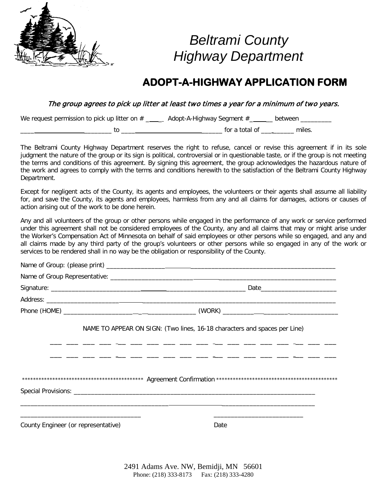

## *Beltrami County Highway Department*

### **ADOPT-A-HIGHWAY APPLICATION FORM**

The group agrees to pick up litter at least two times a year for a minimum of two years.

We request permission to pick up litter on  $#$  \_\_\_\_\_\_ Adopt-A-Highway Segment  $#$  \_\_\_\_\_ between \_\_\_\_\_\_\_

\_\_\_\_ \_\_\_\_\_\_\_\_ to \_\_\_\_ \_\_\_\_\_\_ for a total of \_\_\_ \_\_\_\_\_\_ miles.

The Beltrami County Highway Department reserves the right to refuse, cancel or revise this agreement if in its sole judgment the nature of the group or its sign is political, controversial or in questionable taste, or if the group is not meeting the terms and conditions of this agreement. By signing this agreement, the group acknowledges the hazardous nature of the work and agrees to comply with the terms and conditions herewith to the satisfaction of the Beltrami County Highway Department.

Except for negligent acts of the County, its agents and employees, the volunteers or their agents shall assume all liability for, and save the County, its agents and employees, harmless from any and all claims for damages, actions or causes of action arising out of the work to be done herein.

Any and all volunteers of the group or other persons while engaged in the performance of any work or service performed under this agreement shall not be considered employees of the County, any and all claims that may or might arise under the Worker's Compensation Act of Minnesota on behalf of said employees or other persons while so engaged, and any and all claims made by any third party of the group's volunteers or other persons while so engaged in any of the work or services to be rendered shall in no way be the obligation or responsibility of the County.

|                                     | NAME TO APPEAR ON SIGN: (Two lines, 16-18 characters and spaces per Line)<br>سند السنة السنة السنة السنة السنة السنة السنة السنة السنة السنة السنة السنة السنة السنة السنة السنة ا |
|-------------------------------------|------------------------------------------------------------------------------------------------------------------------------------------------------------------------------------|
|                                     | للا تنظر للند ينظر للنا تنظر للند ينظر للنا تنظر للنا تنظر للنا تنظر للنا تنظر للنا تنظر المنا المنا                                                                               |
| County Engineer (or representative) | Date                                                                                                                                                                               |